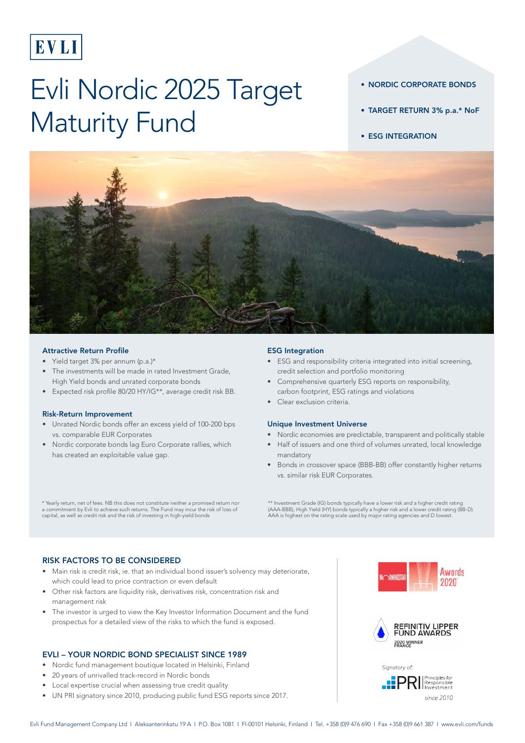

# Evli Nordic 2025 Target Maturity Fund

- NORDIC CORPORATE BONDS
- TARGET RETURN 3% p.a.\* NoF
- ESG INTEGRATION



#### Attractive Return Profile

- Yield target 3% per annum (p.a.)\*
- The investments will be made in rated Investment Grade, High Yield bonds and unrated corporate bonds
- Expected risk profile 80/20 HY/IG\*\*, average credit risk BB.

#### Risk-Return Improvement

- Unrated Nordic bonds offer an excess yield of 100-200 bps vs. comparable EUR Corporates
- Nordic corporate bonds lag Euro Corporate rallies, which has created an exploitable value gap.

#### ESG Integration

- ESG and responsibility criteria integrated into initial screening, credit selection and portfolio monitoring
- Comprehensive quarterly ESG reports on responsibility, carbon footprint, ESG ratings and violations
- Clear exclusion criteria.

#### Unique Investment Universe

- Nordic economies are predictable, transparent and politically stable
- Half of issuers and one third of volumes unrated, local knowledge mandatory
- Bonds in crossover space (BBB-BB) offer constantly higher returns vs. similar risk EUR Corporates.

\* Yearly return, net of fees. NB this does not constitute neither a promised return nor a commitment by Evli to achieve such returns. The Fund may incur the risk of loss of capital, as well as credit risk and the risk of investing in high-yield bonds

\*\* Investment Grade (IG) bonds typically have a lower risk and a higher credit rating (AAA-BBB), High Yield (HY) bonds typically a higher risk and a lower credit rating (BB-D). AAA is highest on the rating scale used by major rating agencies and D lowest.

## RISK FACTORS TO BE CONSIDERED

- Main risk is credit risk, ie. that an individual bond issuer's solvency may deteriorate, which could lead to price contraction or even default
- Other risk factors are liquidity risk, derivatives risk, concentration risk and management risk
- The investor is urged to view the Key Investor Information Document and the fund prospectus for a detailed view of the risks to which the fund is exposed.

## EVLI – YOUR NORDIC BOND SPECIALIST SINCE 1989

- Nordic fund management boutique located in Helsinki, Finland
- 20 years of unrivalled track-record in Nordic bonds
- Local expertise crucial when assessing true credit quality
- UN PRI signatory since 2010, producing public fund ESG reports since 2017.